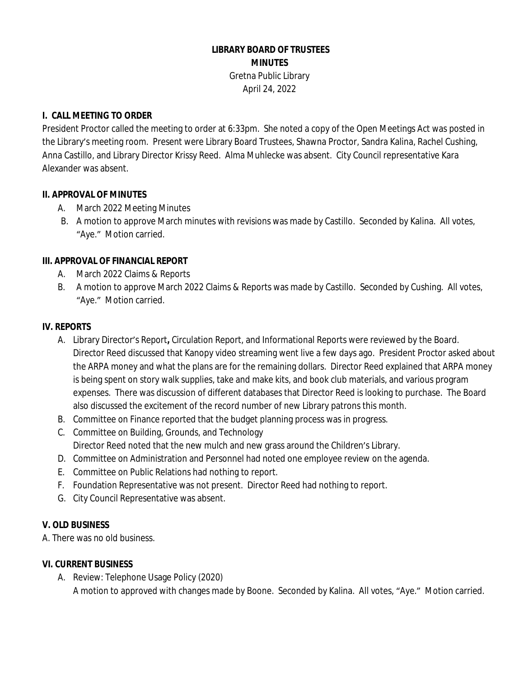## **LIBRARY BOARD OF TRUSTEES MINUTES** Gretna Public Library

April 24, 2022

### **I. CALL MEETING TO ORDER**

President Proctor called the meeting to order at 6:33pm. She noted a copy of the Open Meetings Act was posted in the Library's meeting room. Present were Library Board Trustees, Shawna Proctor, Sandra Kalina, Rachel Cushing, Anna Castillo, and Library Director Krissy Reed. Alma Muhlecke was absent. City Council representative Kara Alexander was absent.

### **II. APPROVAL OF MINUTES**

- A. March 2022 Meeting Minutes
- B. A motion to approve March minutes with revisions was made by Castillo. Seconded by Kalina. All votes, "Aye." Motion carried.

# **III. APPROVAL OF FINANCIAL REPORT**

- A. March 2022 Claims & Reports
- B. A motion to approve March 2022 Claims & Reports was made by Castillo. Seconded by Cushing. All votes, "Aye." Motion carried.

## **IV. REPORTS**

- A. Library Director's Report**,** Circulation Report, and Informational Reports were reviewed by the Board. Director Reed discussed that Kanopy video streaming went live a few days ago. President Proctor asked about the ARPA money and what the plans are for the remaining dollars. Director Reed explained that ARPA money is being spent on story walk supplies, take and make kits, and book club materials, and various program expenses. There was discussion of different databases that Director Reed is looking to purchase. The Board also discussed the excitement of the record number of new Library patrons this month.
- B. Committee on Finance reported that the budget planning process was in progress.
- C. Committee on Building, Grounds, and Technology Director Reed noted that the new mulch and new grass around the Children's Library.
- D. Committee on Administration and Personnel had noted one employee review on the agenda.
- E. Committee on Public Relations had nothing to report.
- F. Foundation Representative was not present. Director Reed had nothing to report.
- G. City Council Representative was absent.

### **V. OLD BUSINESS**

A. There was no old business.

### **VI. CURRENT BUSINESS**

A. Review: Telephone Usage Policy (2020) A motion to approved with changes made by Boone. Seconded by Kalina. All votes, "Aye." Motion carried.